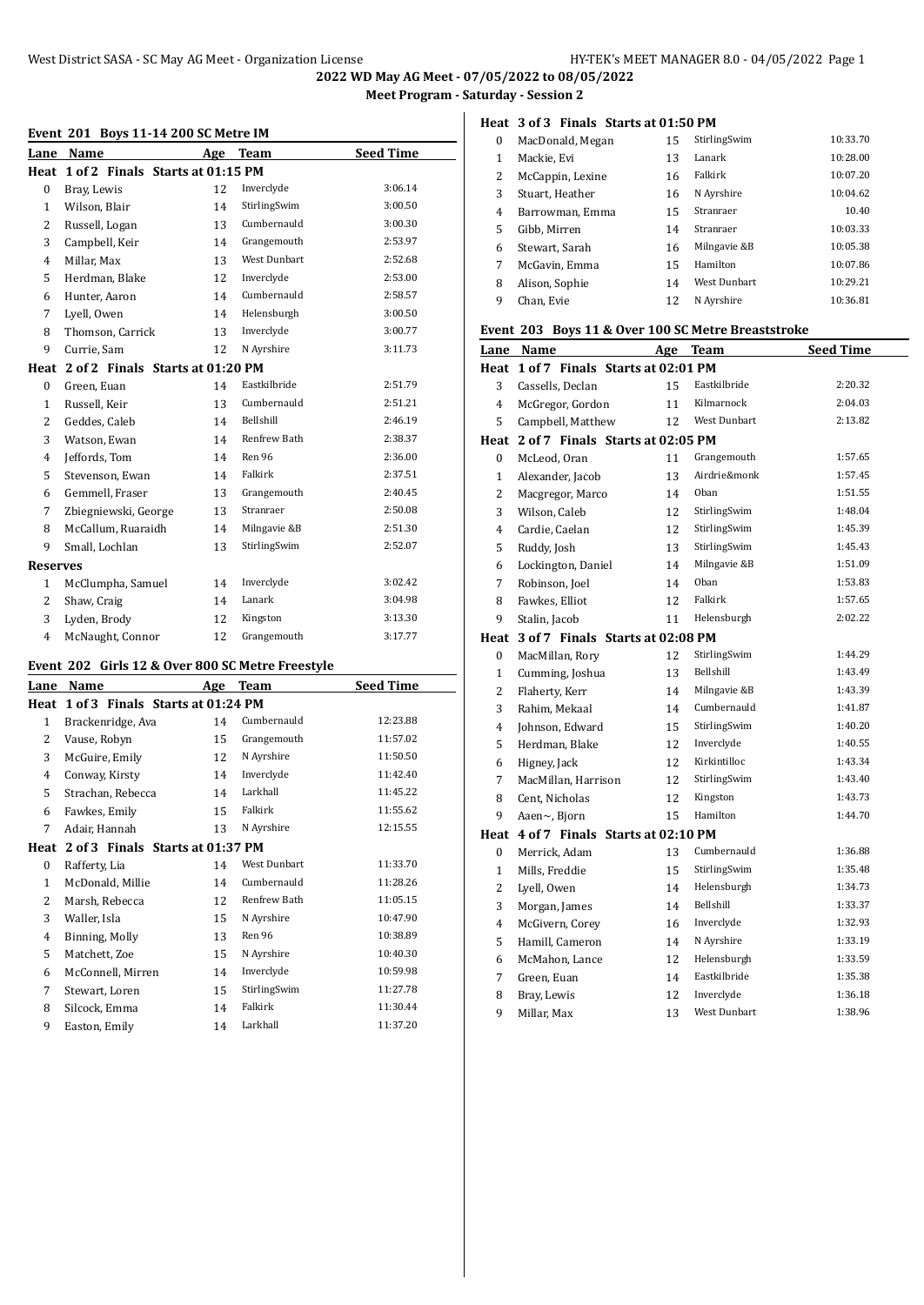#### **Event 201 Boys 11-14 200 SC Metre IM**

| Lane            | Name                                  | Age | Team                | <b>Seed Time</b> |
|-----------------|---------------------------------------|-----|---------------------|------------------|
|                 | Heat 1 of 2 Finals Starts at 01:15 PM |     |                     |                  |
| 0               | Bray, Lewis                           | 12  | Inverclyde          | 3:06.14          |
| $\mathbf{1}$    | Wilson, Blair                         | 14  | StirlingSwim        | 3:00.50          |
| $\overline{2}$  | Russell, Logan                        | 13  | Cumbernauld         | 3:00.30          |
| 3               | Campbell, Keir                        | 14  | Grangemouth         | 2:53.97          |
| $\overline{4}$  | Millar, Max                           | 13  | <b>West Dunbart</b> | 2:52.68          |
| 5               | Herdman, Blake                        | 12  | Inverclyde          | 2:53.00          |
| 6               | Hunter, Aaron                         | 14  | Cumbernauld         | 2:58.57          |
| 7               | Lyell, Owen                           | 14  | Helensburgh         | 3:00.50          |
| 8               | Thomson, Carrick                      | 13  | Inverclyde          | 3:00.77          |
| 9               | Currie, Sam                           | 12  | N Ayrshire          | 3:11.73          |
| Heat            | 2 of 2 Finals Starts at 01:20 PM      |     |                     |                  |
| $\mathbf{0}$    | Green, Euan                           | 14  | Eastkilbride        | 2:51.79          |
| $\mathbf{1}$    | Russell, Keir                         | 13  | Cumbernauld         | 2:51.21          |
| 2               | Geddes, Caleb                         | 14  | Bellshill           | 2:46.19          |
| 3               | Watson, Ewan                          | 14  | <b>Renfrew Bath</b> | 2:38.37          |
| 4               | Jeffords, Tom                         | 14  | Ren 96              | 2:36.00          |
| 5               | Stevenson, Ewan                       | 14  | Falkirk             | 2:37.51          |
| 6               | Gemmell, Fraser                       | 13  | Grangemouth         | 2:40.45          |
| 7               | Zbiegniewski, George                  | 13  | Stranraer           | 2:50.08          |
| 8               | McCallum, Ruaraidh                    | 14  | Milngavie &B        | 2:51.30          |
| 9               | Small, Lochlan                        | 13  | StirlingSwim        | 2:52.07          |
| <b>Reserves</b> |                                       |     |                     |                  |
| $\mathbf{1}$    | McClumpha, Samuel                     | 14  | Inverclyde          | 3:02.42          |
| $\overline{2}$  | Shaw, Craig                           | 14  | Lanark              | 3:04.98          |
| 3               | Lyden, Brody                          | 12  | Kingston            | 3:13.30          |
| 4               | McNaught, Connor                      | 12  | Grangemouth         | 3:17.77          |

# **Event 202 Girls 12 & Over 800 SC Metre Freestyle**

| Lane                     | Name                             | Age | Team         | <b>Seed Time</b> |
|--------------------------|----------------------------------|-----|--------------|------------------|
| Heat                     | 1 of 3 Finals Starts at 01:24 PM |     |              |                  |
| 1                        | Brackenridge, Ava                | 14  | Cumbernauld  | 12:23.88         |
| 2                        | Vause, Robyn                     | 15  | Grangemouth  | 11:57.02         |
| 3                        | McGuire, Emily                   | 12  | N Ayrshire   | 11:50.50         |
| 4                        | Conway, Kirsty                   | 14  | Inverclyde   | 11:42.40         |
| 5                        | Strachan, Rebecca                | 14  | Larkhall     | 11:45.22         |
| 6                        | Fawkes, Emily                    | 15  | Falkirk      | 11:55.62         |
| 7                        | Adair, Hannah                    | 13  | N Ayrshire   | 12:15.55         |
| Heat                     | 2 of 3 Finals Starts at 01:37 PM |     |              |                  |
| 0                        | Rafferty, Lia                    | 14  | West Dunbart | 11:33.70         |
| 1                        | McDonald, Millie                 | 14  | Cumbernauld  | 11:28.26         |
| $\overline{\mathcal{L}}$ | Marsh, Rebecca                   | 12  | Renfrew Bath | 11:05.15         |
| 3                        | Waller, Isla                     | 15  | N Ayrshire   | 10.47.90         |
| 4                        | Binning, Molly                   | 13  | Ren 96       | 10:38.89         |
| 5                        | Matchett, Zoe                    | 15  | N Ayrshire   | 10:40.30         |
| 6                        | McConnell, Mirren                | 14  | Inverclyde   | 10:59.98         |
| 7                        | Stewart, Loren                   | 15  | StirlingSwim | 11:27.78         |
| 8                        | Silcock, Emma                    | 14  | Falkirk      | 11:30.44         |
| 9                        | Easton, Emily                    | 14  | Larkhall     | 11:37.20         |
|                          |                                  |     |              |                  |

## **Heat 3 of 3 Finals Starts at 01:50 PM**

| $\Omega$ | MacDonald, Megan | 15 | StirlingSwim        | 10:33.70 |
|----------|------------------|----|---------------------|----------|
| 1        | Mackie, Evi      | 13 | Lanark              | 10:28.00 |
| 2        | McCappin, Lexine | 16 | Falkirk             | 10:07.20 |
| 3        | Stuart, Heather  | 16 | N Ayrshire          | 10:04.62 |
| 4        | Barrowman, Emma  | 15 | Stranraer           | 10.40    |
| 5        | Gibb, Mirren     | 14 | Stranraer           | 10:03.33 |
| 6        | Stewart, Sarah   | 16 | Milngavie &B        | 10:05.38 |
| 7        | McGavin, Emma    | 15 | Hamilton            | 10:07.86 |
| 8        | Alison, Sophie   | 14 | <b>West Dunbart</b> | 10:29.21 |
| 9        | Chan, Evie       | 12 | N Ayrshire          | 10:36.81 |

#### **Event 203 Boys 11 & Over 100 SC Metre Breaststroke**

| Lane             | <b>Name</b>                           | Age | Team                | <b>Seed Time</b> |
|------------------|---------------------------------------|-----|---------------------|------------------|
| Heat             | 1 of 7 Finals Starts at 02:01 PM      |     |                     |                  |
| 3                | Cassells, Declan                      | 15  | Eastkilbride        | 2:20.32          |
| $\overline{4}$   | McGregor, Gordon                      | 11  | Kilmarnock          | 2:04.03          |
| 5                | Campbell, Matthew                     | 12  | <b>West Dunbart</b> | 2:13.82          |
| Heat             | 2 of 7 Finals Starts at 02:05 PM      |     |                     |                  |
| 0                | McLeod, Oran                          | 11  | Grangemouth         | 1:57.65          |
| $\mathbf{1}$     | Alexander, Jacob                      | 13  | Airdrie&monk        | 1:57.45          |
| $\overline{2}$   | Macgregor, Marco                      | 14  | Oban                | 1:51.55          |
| 3                | Wilson, Caleb                         | 12  | StirlingSwim        | 1:48.04          |
| $\overline{4}$   | Cardie, Caelan                        | 12  | StirlingSwim        | 1:45.39          |
| 5                | Ruddy, Josh                           | 13  | StirlingSwim        | 1:45.43          |
| 6                | Lockington, Daniel                    | 14  | Milngavie &B        | 1:51.09          |
| $\overline{7}$   | Robinson, Joel                        | 14  | Oban                | 1:53.83          |
| 8                | Fawkes, Elliot                        | 12  | Falkirk             | 1:57.65          |
| 9                | Stalin, Jacob                         | 11  | Helensburgh         | 2:02.22          |
|                  | Heat 3 of 7 Finals Starts at 02:08 PM |     |                     |                  |
| $\boldsymbol{0}$ | MacMillan, Rory                       | 12  | StirlingSwim        | 1:44.29          |
| $\mathbf{1}$     | Cumming, Joshua                       | 13  | Bellshill           | 1:43.49          |
| 2                | Flaherty, Kerr                        | 14  | Milngavie &B        | 1:43.39          |
| 3                | Rahim, Mekaal                         | 14  | Cumbernauld         | 1:41.87          |
| 4                | Johnson, Edward                       | 15  | StirlingSwim        | 1:40.20          |
| 5                | Herdman, Blake                        | 12  | Inverclyde          | 1:40.55          |
| 6                | Higney, Jack                          | 12  | Kirkintilloc        | 1:43.34          |
| 7                | MacMillan, Harrison                   | 12  | StirlingSwim        | 1:43.40          |
| 8                | Cent, Nicholas                        | 12  | Kingston            | 1:43.73          |
| 9                | Aaen~, Bjorn                          | 15  | Hamilton            | 1:44.70          |
| Heat             | 4 of 7 Finals Starts at 02:10 PM      |     |                     |                  |
| 0                | Merrick, Adam                         | 13  | Cumbernauld         | 1:36.88          |
| 1                | Mills, Freddie                        | 15  | StirlingSwim        | 1:35.48          |
| 2                | Lyell, Owen                           | 14  | Helensburgh         | 1:34.73          |
| 3                | Morgan, James                         | 14  | Bellshill           | 1:33.37          |
| $\overline{4}$   | McGivern, Corey                       | 16  | Inverclyde          | 1:32.93          |
| 5                | Hamill, Cameron                       | 14  | N Ayrshire          | 1:33.19          |
| 6                | McMahon, Lance                        | 12  | Helensburgh         | 1:33.59          |
| 7                | Green, Euan                           | 14  | Eastkilbride        | 1:35.38          |
| 8                | Bray, Lewis                           | 12  | Inverclyde          | 1:36.18          |
| 9                | Millar, Max                           | 13  | West Dunbart        | 1:38.96          |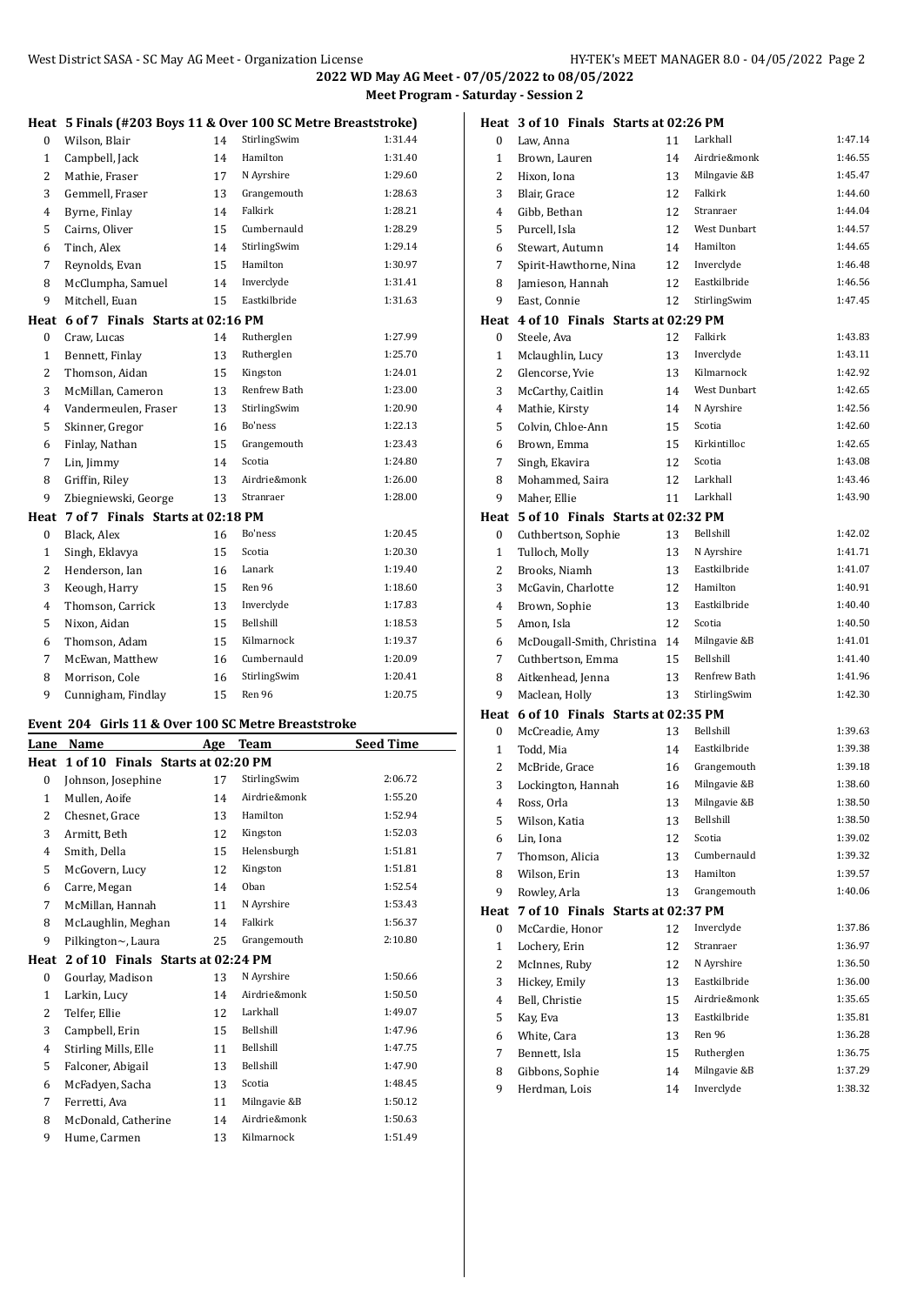|                | West District SASA - SC May AG Meet - Organization License    |                       |              | 2022 WD May AG Me<br><b>Meet Progra</b> |
|----------------|---------------------------------------------------------------|-----------------------|--------------|-----------------------------------------|
|                | Heat 5 Finals (#203 Boys 11 & Over 100 SC Metre Breaststroke) |                       |              |                                         |
| 0              | Wilson, Blair                                                 | 14                    | StirlingSwim | 1:31.44                                 |
| $\mathbf{1}$   | Campbell, Jack                                                | 14                    | Hamilton     | 1:31.40                                 |
| 2              | Mathie, Fraser                                                | 17                    | N Ayrshire   | 1:29.60                                 |
| 3              | Gemmell, Fraser                                               | 13                    | Grangemouth  | 1:28.63                                 |
| 4              | Byrne, Finlay                                                 | 14                    | Falkirk      | 1:28.21                                 |
| 5              | Cairns, Oliver                                                | 15                    | Cumbernauld  | 1:28.29                                 |
| 6              | Tinch, Alex                                                   | 14                    | StirlingSwim | 1:29.14                                 |
| 7              | Reynolds, Evan                                                | 15                    | Hamilton     | 1:30.97                                 |
| 8              | McClumpha, Samuel                                             | 14                    | Inverclyde   | 1:31.41                                 |
| 9              | Mitchell, Euan                                                | 15                    | Eastkilbride | 1:31.63                                 |
| Heat           | 6 of 7 Finals Starts at 02:16 PM                              |                       |              |                                         |
| $\Omega$       | Craw, Lucas                                                   | 14                    | Rutherglen   | 1:27.99                                 |
| $\mathbf{1}$   | Bennett, Finlay                                               | 13                    | Rutherglen   | 1:25.70                                 |
| 2              | Thomson, Aidan                                                | 15                    | Kingston     | 1:24.01                                 |
| 3              | McMillan, Cameron                                             | 13                    | Renfrew Bath | 1:23.00                                 |
| 4              | Vandermeulen, Fraser                                          | 13                    | StirlingSwim | 1:20.90                                 |
| 5              | Skinner, Gregor                                               | 16                    | Bo'ness      | 1:22.13                                 |
| 6              | Finlay, Nathan                                                | 15                    | Grangemouth  | 1:23.43                                 |
| 7              | Lin, Jimmy                                                    | 14                    | Scotia       | 1:24.80                                 |
| 8              | Griffin, Riley                                                | 13                    | Airdrie&monk | 1:26.00                                 |
| 9              | Zbiegniewski, George                                          | 13                    | Stranraer    | 1:28.00                                 |
| Heat           | 7 of 7 Finals Starts at 02:18 PM                              |                       |              |                                         |
| $\bf{0}$       | Black, Alex                                                   | 16                    | Bo'ness      | 1:20.45                                 |
| $\mathbf{1}$   | Singh, Eklavya                                                | 15                    | Scotia       | 1:20.30                                 |
| 2              | Henderson, Ian                                                | 16                    | Lanark       | 1:19.40                                 |
| 3              | Keough, Harry                                                 | 15                    | Ren 96       | 1:18.60                                 |
| $\overline{4}$ | Thomson, Carrick                                              | 13                    | Inverclyde   | 1:17.83                                 |
| 5              | Nixon, Aidan                                                  | 15                    | Bellshill    | 1:18.53                                 |
| 6              | Thomson, Adam                                                 | 15                    | Kilmarnock   | 1:19.37                                 |
| 7              | McEwan, Matthew                                               | 16                    | Cumbernauld  | 1:20.09                                 |
| 8              | Morrison, Cole                                                | 16                    | StirlingSwim | 1:20.41                                 |
| 9              | Cunnigham, Findlay                                            | 15                    | Ren 96       | 1:20.75                                 |
|                | Event 204 Girls 11 & Over 100 SC Metre Breaststroke           |                       |              |                                         |
| I ana          | $N_{\alpha m}$                                                | $\Delta$ and $\Delta$ | <b>Toom</b>  | Cood Timo                               |

| Lane         | Name                              | Age | Team         | <b>Seed Time</b> |
|--------------|-----------------------------------|-----|--------------|------------------|
| Heat         | 1 of 10 Finals Starts at 02:20 PM |     |              |                  |
| $\bf{0}$     | Johnson, Josephine                | 17  | StirlingSwim | 2:06.72          |
| $\mathbf{1}$ | Mullen, Aoife                     | 14  | Airdrie&monk | 1:55.20          |
| 2            | Chesnet, Grace                    | 13  | Hamilton     | 1:52.94          |
| 3            | Armitt, Beth                      | 12  | Kingston     | 1:52.03          |
| 4            | Smith, Della                      | 15  | Helensburgh  | 1:51.81          |
| 5            | McGovern, Lucy                    | 12  | Kingston     | 1:51.81          |
| 6            | Carre, Megan                      | 14  | Oban         | 1:52.54          |
| 7            | McMillan, Hannah                  | 11  | N Ayrshire   | 1:53.43          |
| 8            | McLaughlin, Meghan                | 14  | Falkirk      | 1:56.37          |
| 9            | Pilkington~, Laura                | 25  | Grangemouth  | 2:10.80          |
| Heat         | 2 of 10 Finals Starts at 02:24 PM |     |              |                  |
| $\Omega$     | Gourlay, Madison                  | 13  | N Ayrshire   | 1:50.66          |
| 1            | Larkin, Lucy                      | 14  | Airdrie&monk | 1:50.50          |
| 2            | Telfer, Ellie                     | 12  | Larkhall     | 1:49.07          |
| 3            | Campbell, Erin                    | 15  | Bellshill    | 1:47.96          |
| 4            | Stirling Mills, Elle              | 11  | Bellshill    | 1:47.75          |
| 5            | Falconer, Abigail                 | 13  | Bellshill    | 1:47.90          |
| 6            | McFadyen, Sacha                   | 13  | Scotia       | 1:48.45          |
| 7            | Ferretti, Ava                     | 11  | Milngavie &B | 1:50.12          |
| 8            | McDonald, Catherine               | 14  | Airdrie&monk | 1:50.63          |
| 9            | Hume, Carmen                      | 13  | Kilmarnock   | 1:51.49          |
|              |                                   |     |              |                  |

|                | Heat 3 of 10 Finals Starts at 02:26 PM |    |                     |         |
|----------------|----------------------------------------|----|---------------------|---------|
| $\bf{0}$       | Law, Anna                              | 11 | Larkhall            | 1:47.14 |
| 1              | Brown, Lauren                          | 14 | Airdrie&monk        | 1:46.55 |
| 2              | Hixon, Iona                            | 13 | Milngavie &B        | 1:45.47 |
| 3              | Blair. Grace                           | 12 | Falkirk             | 1:44.60 |
| 4              | Gibb, Bethan                           | 12 | Stranraer           | 1:44.04 |
| 5              | Purcell, Isla                          | 12 | West Dunbart        | 1:44.57 |
| 6              | Stewart, Autumn                        | 14 | Hamilton            | 1:44.65 |
| 7              | Spirit-Hawthorne, Nina                 | 12 | Inverclyde          | 1:46.48 |
| 8              | Jamieson, Hannah                       | 12 | Eastkilbride        | 1:46.56 |
| 9              | East, Connie                           | 12 | StirlingSwim        | 1:47.45 |
| Heat           | 4 of 10 Finals Starts at 02:29 PM      |    |                     |         |
| 0              | Steele, Ava                            | 12 | Falkirk             | 1:43.83 |
| $\mathbf{1}$   | Mclaughlin, Lucy                       | 13 | Inverclyde          | 1:43.11 |
| 2              | Glencorse, Yvie                        | 13 | Kilmarnock          | 1:42.92 |
| 3              | McCarthy, Caitlin                      | 14 | <b>West Dunbart</b> | 1:42.65 |
| 4              | Mathie, Kirsty                         | 14 | N Ayrshire          | 1:42.56 |
| 5              | Colvin, Chloe-Ann                      | 15 | Scotia              | 1:42.60 |
| 6              | Brown, Emma                            | 15 | Kirkintilloc        | 1:42.65 |
| 7              | Singh, Ekavira                         | 12 | Scotia              | 1:43.08 |
| 8              | Mohammed, Saira                        | 12 | Larkhall            | 1:43.46 |
| 9              | Maher, Ellie                           | 11 | Larkhall            | 1:43.90 |
|                | Heat 5 of 10 Finals Starts at 02:32 PM |    |                     |         |
| 0              | Cuthbertson, Sophie                    | 13 | Bellshill           | 1:42.02 |
| 1              | Tulloch, Molly                         | 13 | N Ayrshire          | 1:41.71 |
| $\overline{c}$ | Brooks, Niamh                          | 13 | Eastkilbride        | 1:41.07 |
| 3              | McGavin, Charlotte                     | 12 | Hamilton            | 1:40.91 |
| 4              | Brown, Sophie                          | 13 | Eastkilbride        | 1:40.40 |
| 5              | Amon, Isla                             | 12 | Scotia              | 1:40.50 |
| 6              | McDougall-Smith, Christina             | 14 | Milngavie &B        | 1:41.01 |
| 7              | Cuthbertson, Emma                      | 15 | Bellshill           | 1:41.40 |
| 8              | Aitkenhead, Jenna                      | 13 | Renfrew Bath        | 1:41.96 |
| 9              | Maclean, Holly                         | 13 | StirlingSwim        | 1:42.30 |
|                | Heat 6 of 10 Finals Starts at 02:35 PM |    |                     |         |
| 0              | McCreadie, Amy                         | 13 | Bellshill           | 1:39.63 |
| 1              | Todd, Mia                              | 14 | Eastkilbride        | 1:39.38 |
| 2              | McBride, Grace                         | 16 | Grangemouth         | 1:39.18 |
| 3              | Lockington, Hannah                     | 16 | Milngavie &B        | 1:38.60 |
| $\overline{4}$ | Ross, Orla                             | 13 | Milngavie &B        | 1:38.50 |
| 5              | Wilson, Katia                          | 13 | Bellshill           | 1:38.50 |
| 6              | Lin, Iona                              | 12 | Scotia              | 1:39.02 |
| 7              | Thomson, Alicia                        | 13 | Cumbernauld         | 1:39.32 |
| 8              | Wilson, Erin                           | 13 | Hamilton            | 1:39.57 |
| 9              | Rowley, Arla                           | 13 | Grangemouth         | 1:40.06 |
| Heat           | 7 of 10 Finals Starts at 02:37 PM      |    |                     |         |
| 0              | McCardie, Honor                        | 12 | Inverclyde          | 1:37.86 |
| $\mathbf{1}$   | Lochery, Erin                          | 12 | Stranraer           | 1:36.97 |
| 2              | McInnes, Ruby                          | 12 | N Ayrshire          | 1:36.50 |
| 3              | Hickey, Emily                          | 13 | Eastkilbride        | 1:36.00 |
| 4              | Bell, Christie                         | 15 | Airdrie&monk        | 1:35.65 |
| 5              | Kay, Eva                               | 13 | Eastkilbride        | 1:35.81 |
| 6              | White, Cara                            | 13 | Ren 96              | 1:36.28 |
| 7              | Bennett, Isla                          | 15 | Rutherglen          | 1:36.75 |
| 8              | Gibbons, Sophie                        | 14 | Milngavie &B        | 1:37.29 |
| 9              | Herdman, Lois                          | 14 | Inverclyde          | 1:38.32 |
|                |                                        |    |                     |         |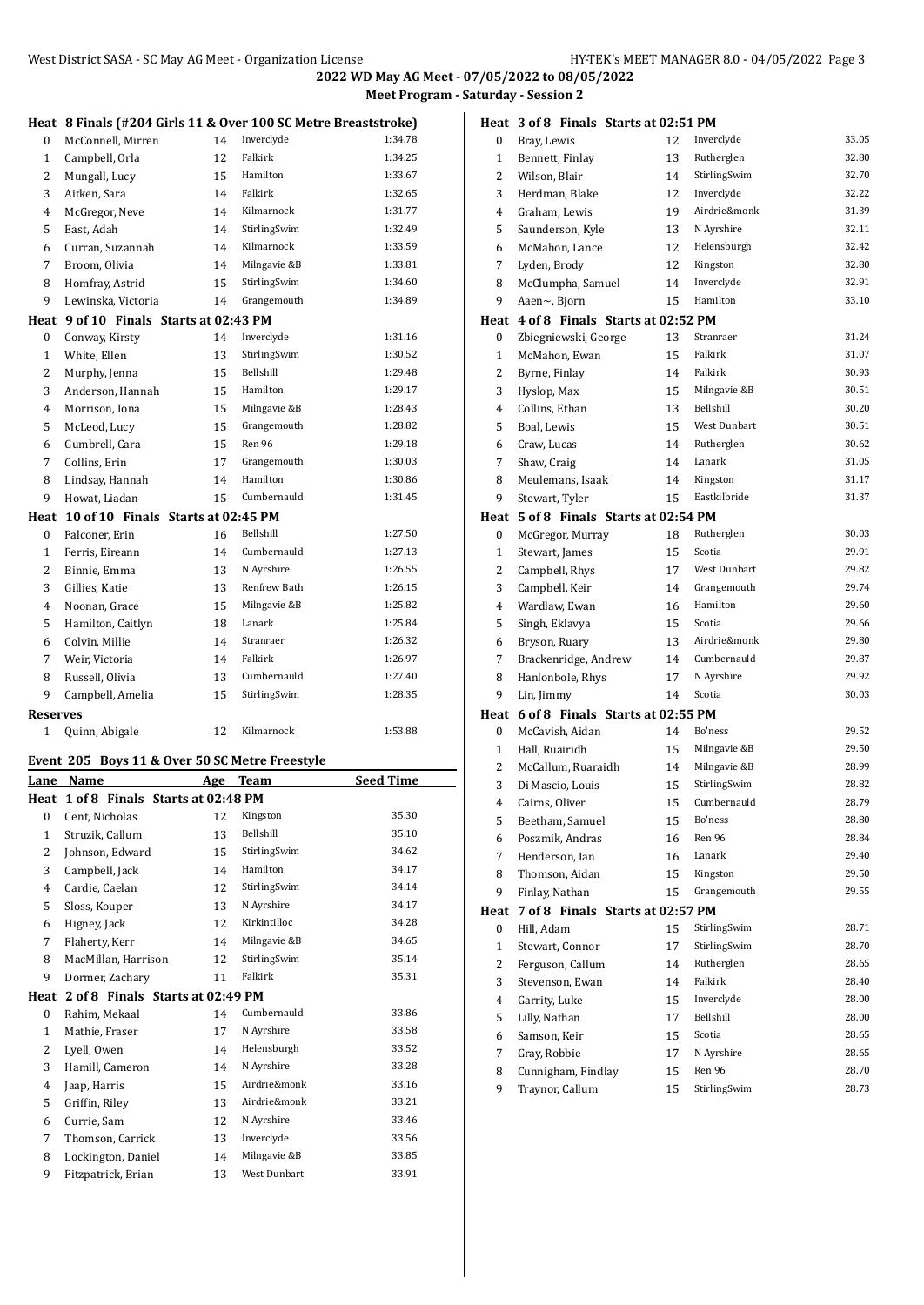|                 | Heat 8 Finals (#204 Girls 11 & Over 100 SC Metre Breaststroke) |    |                         |                    |
|-----------------|----------------------------------------------------------------|----|-------------------------|--------------------|
| 0               | McConnell, Mirren                                              | 14 | Inverclyde              | 1:34.78            |
| 1               | Campbell, Orla                                                 | 12 | Falkirk                 | 1:34.25            |
| 2               | Mungall, Lucy                                                  | 15 | Hamilton                | 1:33.67            |
| 3               | Aitken, Sara                                                   | 14 | Falkirk                 | 1:32.65            |
| 4               | McGregor, Neve                                                 | 14 | Kilmarnock              | 1:31.77            |
| 5               | East, Adah                                                     | 14 | StirlingSwim            | 1:32.49            |
| 6               | Curran, Suzannah                                               | 14 | Kilmarnock              | 1:33.59            |
| 7               | Broom, Olivia                                                  | 14 | Milngavie &B            | 1:33.81            |
| 8               | Homfray, Astrid                                                | 15 | StirlingSwim            | 1:34.60            |
| 9               | Lewinska, Victoria                                             | 14 | Grangemouth             | 1:34.89            |
|                 | Heat 9 of 10 Finals Starts at 02:43 PM                         |    |                         |                    |
| 0               | Conway, Kirsty                                                 | 14 | Inverclyde              | 1:31.16            |
| 1               | White, Ellen                                                   | 13 | StirlingSwim            | 1:30.52            |
| 2               | Murphy, Jenna                                                  | 15 | Bellshill               | 1:29.48            |
| 3               | Anderson, Hannah                                               | 15 | Hamilton                | 1:29.17            |
| 4               | Morrison, Iona                                                 |    | Milngavie &B            | 1:28.43            |
|                 |                                                                | 15 | Grangemouth             | 1:28.82            |
| 5               | McLeod, Lucy                                                   | 15 | Ren 96                  |                    |
| 6               | Gumbrell, Cara                                                 | 15 |                         | 1:29.18            |
| 7               | Collins, Erin                                                  | 17 | Grangemouth<br>Hamilton | 1:30.03<br>1:30.86 |
| 8               | Lindsay, Hannah                                                | 14 |                         |                    |
| 9               | Howat, Liadan                                                  | 15 | Cumbernauld             | 1:31.45            |
|                 | Heat 10 of 10 Finals Starts at 02:45 PM                        |    |                         |                    |
| 0               | Falconer, Erin                                                 | 16 | Bellshill               | 1:27.50            |
| 1               | Ferris, Eireann                                                | 14 | Cumbernauld             | 1:27.13            |
| 2               | Binnie, Emma                                                   | 13 | N Ayrshire              | 1:26.55            |
| 3               | Gillies, Katie                                                 | 13 | Renfrew Bath            | 1:26.15            |
| 4               | Noonan, Grace                                                  | 15 | Milngavie &B            | 1:25.82            |
| 5               | Hamilton, Caitlyn                                              | 18 | Lanark                  | 1:25.84            |
| 6               | Colvin, Millie                                                 | 14 | Stranraer               | 1:26.32            |
| 7               | Weir, Victoria                                                 | 14 | Falkirk                 | 1:26.97            |
| 8               | Russell, Olivia                                                | 13 | Cumbernauld             | 1:27.40            |
| 9               | Campbell, Amelia                                               | 15 | StirlingSwim            | 1:28.35            |
| <b>Reserves</b> |                                                                |    |                         |                    |
| 1               | Quinn, Abigale                                                 | 12 | Kilmarnock              | 1:53.88            |
|                 | Event 205 Boys 11 & Over 50 SC Metre Freestyle                 |    |                         |                    |
|                 | Lane Name                                                      |    | Age Team                | <b>Seed Time</b>   |
|                 | Heat 1 of 8 Finals Starts at 02:48 PM                          |    |                         |                    |
| 0               | Cent, Nicholas                                                 |    |                         |                    |
| 1               |                                                                | 12 | Kingston                | 35.30              |
|                 | Struzik, Callum                                                | 13 | Bellshill               | 35.10              |
| 2               | Johnson, Edward                                                | 15 | StirlingSwim            | 34.62              |
| 3               | Campbell, Jack                                                 | 14 | Hamilton                | 34.17              |
| 4               | Cardie, Caelan                                                 | 12 | StirlingSwim            | 34.14              |
| 5               | Sloss, Kouper                                                  | 13 | N Ayrshire              | 34.17              |
| 6               | Higney, Jack                                                   | 12 | Kirkintilloc            | 34.28              |
| 7               | Flaherty, Kerr                                                 | 14 | Milngavie &B            | 34.65              |
| 8               | MacMillan, Harrison                                            | 12 | StirlingSwim            | 35.14              |
| 9               | Dormer, Zachary                                                | 11 | Falkirk                 | 35.31              |
|                 | Heat 2 of 8 Finals Starts at 02:49 PM                          |    |                         |                    |
| 0               | Rahim, Mekaal                                                  | 14 | Cumbernauld             | 33.86              |
| 1               | Mathie, Fraser                                                 | 17 | N Ayrshire              | 33.58              |
| 2               | Lyell, Owen                                                    | 14 | Helensburgh             | 33.52              |
| 3               | Hamill, Cameron                                                | 14 | N Ayrshire              | 33.28              |
| $\overline{4}$  | Jaap, Harris                                                   | 15 | Airdrie&monk            | 33.16              |
| 5               | Griffin, Riley                                                 | 13 | Airdrie&monk            | 33.21              |
| 6               | Currie, Sam                                                    | 12 | N Ayrshire              | 33.46              |
| 7               | Thomson, Carrick                                               | 13 | Inverclyde              | 33.56              |
| 8               | Lockington, Daniel                                             | 14 | Milngavie &B            | 33.85              |

| Heat           | 3 of 8 Finals Starts at 02:51 PM      |    |              |       |
|----------------|---------------------------------------|----|--------------|-------|
| 0              | Bray, Lewis                           | 12 | Inverclyde   | 33.05 |
| $\mathbf{1}$   | Bennett, Finlay                       | 13 | Rutherglen   | 32.80 |
| 2              | Wilson, Blair                         | 14 | StirlingSwim | 32.70 |
| 3              | Herdman, Blake                        | 12 | Inverclyde   | 32.22 |
| 4              | Graham, Lewis                         | 19 | Airdrie&monk | 31.39 |
| 5              | Saunderson, Kyle                      | 13 | N Ayrshire   | 32.11 |
| 6              | McMahon, Lance                        | 12 | Helensburgh  | 32.42 |
| 7              | Lyden, Brody                          | 12 | Kingston     | 32.80 |
| 8              | McClumpha, Samuel                     | 14 | Inverclyde   | 32.91 |
| 9              | Aaen~, Bjorn                          | 15 | Hamilton     | 33.10 |
| Heat           | 4 of 8 Finals Starts at 02:52 PM      |    |              |       |
| 0              | Zbiegniewski, George                  | 13 | Stranraer    | 31.24 |
| $\mathbf{1}$   | McMahon, Ewan                         | 15 | Falkirk      | 31.07 |
| 2              | Byrne, Finlay                         | 14 | Falkirk      | 30.93 |
| 3              | Hyslop, Max                           | 15 | Milngavie &B | 30.51 |
| 4              | Collins, Ethan                        | 13 | Bellshill    | 30.20 |
| 5              | Boal, Lewis                           | 15 | West Dunbart | 30.51 |
| 6              | Craw, Lucas                           | 14 | Rutherglen   | 30.62 |
| 7              | Shaw, Craig                           | 14 | Lanark       | 31.05 |
| 8              | Meulemans, Isaak                      | 14 | Kingston     | 31.17 |
| 9              | Stewart, Tyler                        | 15 | Eastkilbride | 31.37 |
|                | Heat 5 of 8 Finals Starts at 02:54 PM |    |              |       |
| 0              | McGregor, Murray                      | 18 | Rutherglen   | 30.03 |
| 1              | Stewart, James                        | 15 | Scotia       | 29.91 |
| 2              | Campbell, Rhys                        | 17 | West Dunbart | 29.82 |
| 3              | Campbell, Keir                        | 14 | Grangemouth  | 29.74 |
| 4              | Wardlaw, Ewan                         | 16 | Hamilton     | 29.60 |
| 5              | Singh, Eklavya                        | 15 | Scotia       | 29.66 |
| 6              | Bryson, Ruary                         | 13 | Airdrie&monk | 29.80 |
| 7              | Brackenridge, Andrew                  | 14 | Cumbernauld  | 29.87 |
| 8              | Hanlonbole, Rhys                      | 17 | N Ayrshire   | 29.92 |
| 9              | Lin, Jimmy                            | 14 | Scotia       | 30.03 |
| Heat           | 6 of 8 Finals Starts at 02:55 PM      |    |              |       |
| 0              | McCavish, Aidan                       | 14 | Bo'ness      | 29.52 |
| $\mathbf{1}$   | Hall, Ruairidh                        | 15 | Milngavie &B | 29.50 |
| 2              | McCallum, Ruaraidh                    | 14 | Milngavie &B | 28.99 |
| 3              | Di Mascio, Louis                      | 15 | StirlingSwim | 28.82 |
| $\overline{4}$ | Cairns, Oliver                        | 15 | Cumbernauld  | 28.79 |
| 5              | Beetham, Samuel                       | 15 | Bo'ness      | 28.80 |
| 6              | Poszmik, Andras                       | 16 | Ren 96       | 28.84 |
| 7              | Henderson, Ian                        | 16 | Lanark       | 29.40 |
| 8              | Thomson, Aidan                        | 15 | Kingston     | 29.50 |
| 9              | Finlay, Nathan                        | 15 | Grangemouth  | 29.55 |
| Heat           | 7 of 8 Finals Starts at 02:57 PM      |    |              |       |
| 0              | Hill, Adam                            | 15 | StirlingSwim | 28.71 |
| $\mathbf{1}$   | Stewart, Connor                       | 17 | StirlingSwim | 28.70 |
| $\overline{c}$ | Ferguson, Callum                      | 14 | Rutherglen   | 28.65 |
| 3              | Stevenson, Ewan                       | 14 | Falkirk      | 28.40 |
| 4              | Garrity, Luke                         | 15 | Inverclyde   | 28.00 |
| 5              | Lilly, Nathan                         | 17 | Bellshill    | 28.00 |
| 6              | Samson, Keir                          | 15 | Scotia       | 28.65 |
| 7              | Gray, Robbie                          | 17 | N Ayrshire   | 28.65 |
| 8              | Cunnigham, Findlay                    | 15 | Ren 96       | 28.70 |
| 9              | Traynor, Callum                       | 15 | StirlingSwim | 28.73 |
|                |                                       |    |              |       |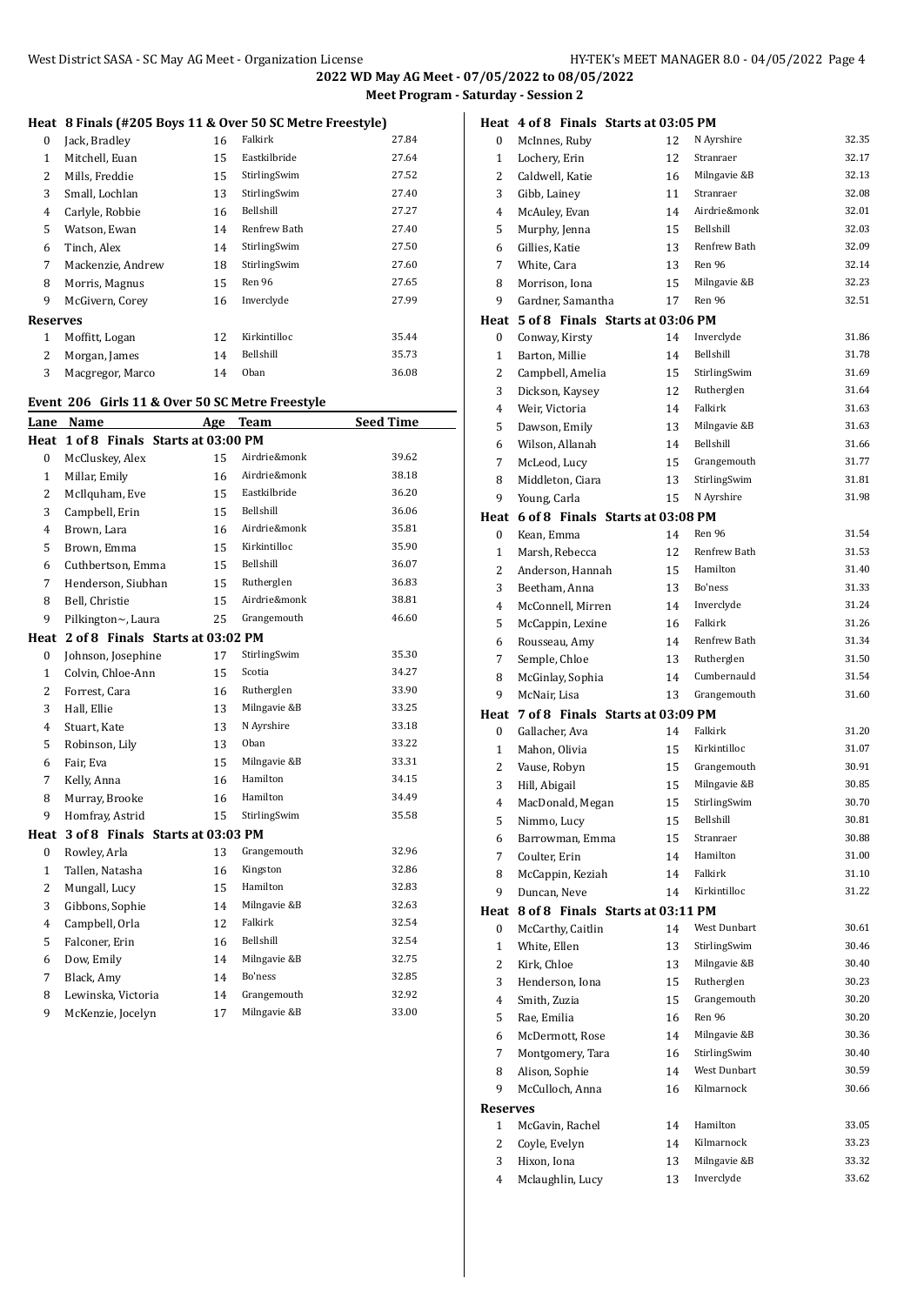## **Heat 8 Finals (#205 Boys 11 & Over 50 SC Metre Freestyle)**

| 0               | Jack, Bradley     | 16 | Falkirk      | 27.84 |
|-----------------|-------------------|----|--------------|-------|
| 1               | Mitchell, Euan    | 15 | Eastkilbride | 27.64 |
| 2               | Mills, Freddie    | 15 | StirlingSwim | 27.52 |
| 3               | Small, Lochlan    | 13 | StirlingSwim | 27.40 |
| 4               | Carlyle, Robbie   | 16 | Bellshill    | 27.27 |
| 5               | Watson, Ewan      | 14 | Renfrew Bath | 27.40 |
| 6               | Tinch, Alex       | 14 | StirlingSwim | 27.50 |
| 7               | Mackenzie, Andrew | 18 | StirlingSwim | 27.60 |
| 8               | Morris, Magnus    | 15 | Ren 96       | 27.65 |
| 9               | McGivern, Corev   | 16 | Inverclyde   | 27.99 |
| <b>Reserves</b> |                   |    |              |       |
| 1               | Moffitt, Logan    | 12 | Kirkintilloc | 35.44 |
| 2               | Morgan, James     | 14 | Bellshill    | 35.73 |
| 3               | Macgregor, Marco  | 14 | Oban         | 36.08 |
|                 |                   |    |              |       |

# **Event 206 Girls 11 & Over 50 SC Metre Freestyle**

| Lane             | Name                             | Age | Team         | <b>Seed Time</b> |
|------------------|----------------------------------|-----|--------------|------------------|
| Heat             | 1 of 8 Finals Starts at 03:00 PM |     |              |                  |
| $\mathbf{0}$     | McCluskey, Alex                  | 15  | Airdrie&monk | 39.62            |
| $\mathbf{1}$     | Millar, Emily                    | 16  | Airdrie&monk | 38.18            |
| $\overline{2}$   | McIlquham, Eve                   | 15  | Eastkilbride | 36.20            |
| 3                | Campbell, Erin                   | 15  | Bellshill    | 36.06            |
| 4                | Brown, Lara                      | 16  | Airdrie&monk | 35.81            |
| 5                | Brown, Emma                      | 15  | Kirkintilloc | 35.90            |
| 6                | Cuthbertson, Emma                | 15  | Bellshill    | 36.07            |
| 7                | Henderson, Siubhan               | 15  | Rutherglen   | 36.83            |
| 8                | Bell, Christie                   | 15  | Airdrie&monk | 38.81            |
| 9                | Pilkington~, Laura               | 25  | Grangemouth  | 46.60            |
| Heat             | 2 of 8 Finals Starts at 03:02 PM |     |              |                  |
| 0                | Johnson, Josephine               | 17  | StirlingSwim | 35.30            |
| $\mathbf{1}$     | Colvin, Chloe-Ann                | 15  | Scotia       | 34.27            |
| $\overline{2}$   | Forrest, Cara                    | 16  | Rutherglen   | 33.90            |
| 3                | Hall, Ellie                      | 13  | Milngavie &B | 33.25            |
| 4                | Stuart, Kate                     | 13  | N Ayrshire   | 33.18            |
| 5                | Robinson, Lily                   | 13  | Oban         | 33.22            |
| 6                | Fair, Eva                        | 15  | Milngavie &B | 33.31            |
| 7                | Kelly, Anna                      | 16  | Hamilton     | 34.15            |
| 8                | Murray, Brooke                   | 16  | Hamilton     | 34.49            |
| 9                | Homfray, Astrid                  | 15  | StirlingSwim | 35.58            |
| Heat             | 3 of 8 Finals Starts at 03:03 PM |     |              |                  |
| $\boldsymbol{0}$ | Rowley, Arla                     | 13  | Grangemouth  | 32.96            |
| $\mathbf{1}$     | Tallen, Natasha                  | 16  | Kingston     | 32.86            |
| $\overline{2}$   | Mungall, Lucy                    | 15  | Hamilton     | 32.83            |
| 3                | Gibbons, Sophie                  | 14  | Milngavie &B | 32.63            |
| $\overline{4}$   | Campbell, Orla                   | 12  | Falkirk      | 32.54            |
| 5                | Falconer, Erin                   | 16  | Bellshill    | 32.54            |
| 6                | Dow, Emily                       | 14  | Milngavie &B | 32.75            |
| 7                | Black, Amy                       | 14  | Bo'ness      | 32.85            |
| 8                | Lewinska, Victoria               | 14  | Grangemouth  | 32.92            |
| 9                | McKenzie, Jocelyn                | 17  | Milngavie &B | 33.00            |

|                      | Heat 4 of 8 Finals Starts at 03:05 PM              |    |              |                |
|----------------------|----------------------------------------------------|----|--------------|----------------|
| 0                    | McInnes, Ruby                                      | 12 | N Ayrshire   | 32.35          |
| 1                    | Lochery, Erin                                      | 12 | Stranraer    | 32.17          |
| 2                    | Caldwell, Katie                                    | 16 | Milngavie &B | 32.13          |
| 3                    | Gibb, Lainev                                       | 11 | Stranraer    | 32.08          |
| 4                    | McAuley, Evan                                      | 14 | Airdrie&monk | 32.01          |
| 5                    | Murphy, Jenna                                      | 15 | Bellshill    | 32.03          |
| 6                    | Gillies, Katie                                     | 13 | Renfrew Bath | 32.09          |
| 7                    | White, Cara                                        | 13 | Ren 96       | 32.14          |
| 8                    | Morrison, Iona                                     | 15 | Milngavie &B | 32.23          |
| 9                    | Gardner, Samantha                                  | 17 | Ren 96       | 32.51          |
|                      | Heat 5 of 8 Finals Starts at 03:06 PM              |    |              |                |
| 0                    | Conway, Kirsty                                     | 14 | Inverclyde   | 31.86          |
| $\mathbf{1}$         | Barton, Millie                                     | 14 | Bellshill    | 31.78          |
| 2                    | Campbell, Amelia                                   | 15 | StirlingSwim | 31.69          |
| 3                    | Dickson, Kaysey                                    | 12 | Rutherglen   | 31.64          |
| 4                    | Weir, Victoria                                     | 14 | Falkirk      | 31.63          |
| 5                    | Dawson, Emily                                      | 13 | Milngavie &B | 31.63          |
| 6                    | Wilson, Allanah                                    | 14 | Bellshill    | 31.66          |
| 7                    | McLeod, Lucy                                       | 15 | Grangemouth  | 31.77          |
| 8                    | Middleton, Ciara                                   | 13 | StirlingSwim | 31.81          |
| 9                    | Young, Carla                                       | 15 | N Ayrshire   | 31.98          |
|                      | Heat 6 of 8 Finals Starts at 03:08 PM              |    |              |                |
| 0                    | Kean, Emma                                         | 14 | Ren 96       | 31.54          |
| $\mathbf{1}$         | Marsh, Rebecca                                     | 12 | Renfrew Bath | 31.53          |
| 2                    | Anderson, Hannah                                   | 15 | Hamilton     | 31.40          |
| 3                    | Beetham, Anna                                      | 13 | Bo'ness      | 31.33          |
| 4                    | McConnell, Mirren                                  | 14 | Inverclyde   | 31.24          |
| 5                    | McCappin, Lexine                                   | 16 | Falkirk      | 31.26          |
| 6                    | Rousseau, Amy                                      | 14 | Renfrew Bath | 31.34          |
| 7                    | Semple, Chloe                                      | 13 | Rutherglen   | 31.50          |
| 8                    | McGinlay, Sophia                                   | 14 | Cumbernauld  | 31.54<br>31.60 |
| 9                    | McNair, Lisa                                       | 13 | Grangemouth  |                |
| Heat<br>$\mathbf{0}$ | 7 of 8 Finals Starts at 03:09 PM<br>Gallacher, Ava | 14 | Falkirk      | 31.20          |
| $\mathbf{1}$         |                                                    | 15 | Kirkintilloc | 31.07          |
| 2                    | Mahon, Olivia<br>Vause, Robyn                      | 15 | Grangemouth  | 30.91          |
| 3                    | Hill, Abigail                                      | 15 | Milngavie &B | 30.85          |
| 4                    | MacDonald, Megan                                   | 15 | StirlingSwim | 30.70          |
| 5                    | Nimmo, Lucy                                        | 15 | Bellshill    | 30.81          |
| 6                    | Barrowman, Emma                                    | 15 | Stranraer    | 30.88          |
| 7                    | Coulter, Erin                                      | 14 | Hamilton     | 31.00          |
| 8                    | McCappin, Keziah                                   | 14 | Falkirk      | 31.10          |
| 9                    | Duncan, Neve                                       | 14 | Kirkintilloc | 31.22          |
|                      | Heat 8 of 8 Finals Starts at 03:11 PM              |    |              |                |
| 0                    | McCarthy, Caitlin                                  | 14 | West Dunbart | 30.61          |
| $\mathbf{1}$         | White, Ellen                                       | 13 | StirlingSwim | 30.46          |
| 2                    | Kirk, Chloe                                        | 13 | Milngavie &B | 30.40          |
| 3                    | Henderson, Iona                                    | 15 | Rutherglen   | 30.23          |
| 4                    | Smith, Zuzia                                       | 15 | Grangemouth  | 30.20          |
| 5                    | Rae, Emilia                                        | 16 | Ren 96       | 30.20          |
| 6                    | McDermott, Rose                                    | 14 | Milngavie &B | 30.36          |
| 7                    | Montgomery, Tara                                   | 16 | StirlingSwim | 30.40          |
| 8                    | Alison, Sophie                                     | 14 | West Dunbart | 30.59          |
| 9                    | McCulloch, Anna                                    | 16 | Kilmarnock   | 30.66          |
| <b>Reserves</b>      |                                                    |    |              |                |
| 1                    | McGavin, Rachel                                    | 14 | Hamilton     | 33.05          |
| 2                    | Coyle, Evelyn                                      | 14 | Kilmarnock   | 33.23          |
| 3                    | Hixon, Iona                                        | 13 | Milngavie &B | 33.32          |
| 4                    | Mclaughlin, Lucy                                   | 13 | Inverclyde   | 33.62          |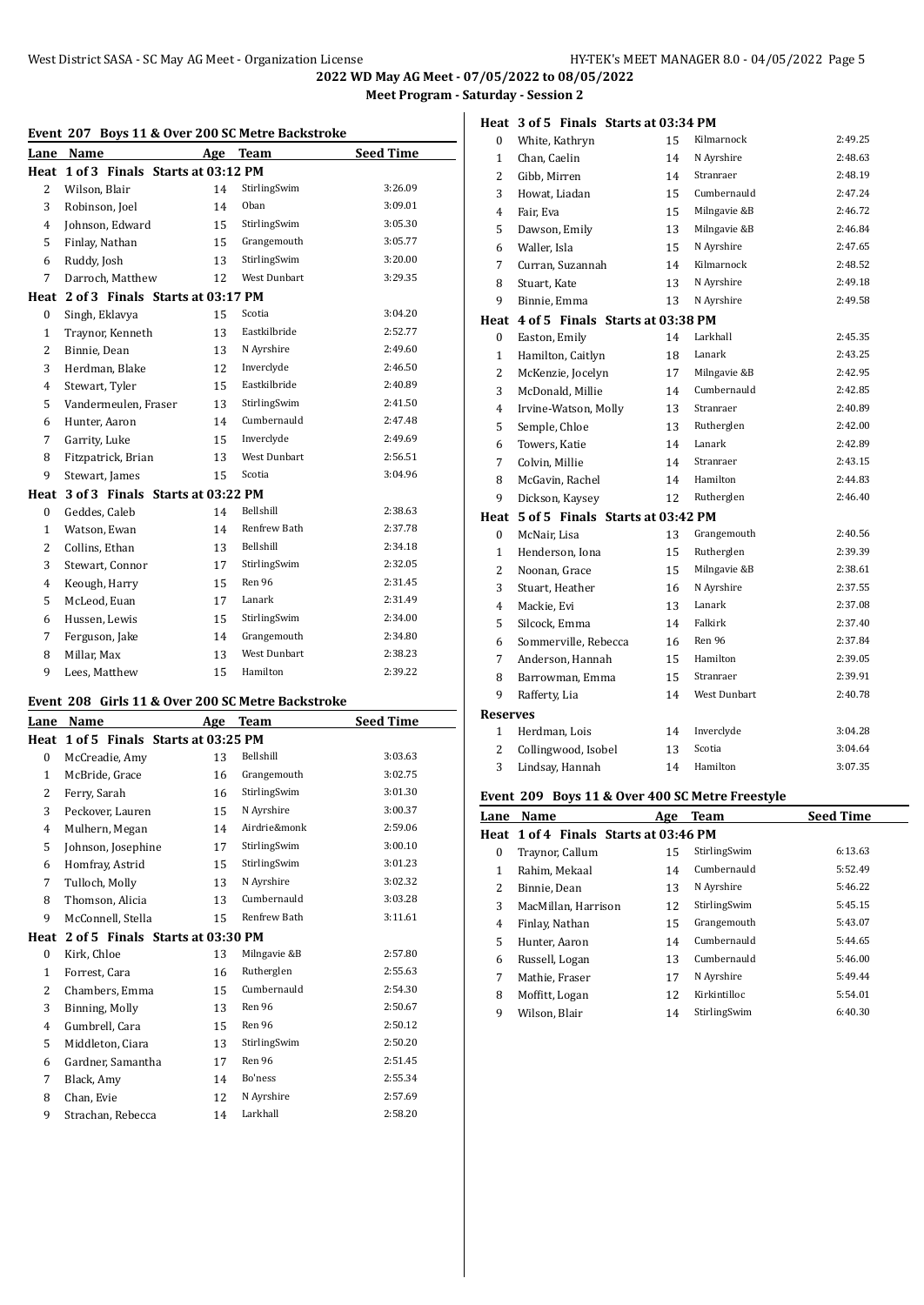| Event 207 Boys 11 & Over 200 SC Metre Backstroke |                                       |     |                     |                  |  |  |
|--------------------------------------------------|---------------------------------------|-----|---------------------|------------------|--|--|
| Lane                                             | Name                                  | Age | Team                | <b>Seed Time</b> |  |  |
|                                                  | Heat 1 of 3 Finals Starts at 03:12 PM |     |                     |                  |  |  |
| 2                                                | Wilson, Blair                         | 14  | StirlingSwim        | 3:26.09          |  |  |
| 3                                                | Robinson, Joel                        | 14  | Oban                | 3:09.01          |  |  |
| 4                                                | Johnson, Edward                       | 15  | StirlingSwim        | 3:05.30          |  |  |
| 5                                                | Finlay, Nathan                        | 15  | Grangemouth         | 3:05.77          |  |  |
| 6                                                | Ruddy, Josh                           | 13  | StirlingSwim        | 3:20.00          |  |  |
| 7                                                | Darroch, Matthew                      | 12  | <b>West Dunbart</b> | 3:29.35          |  |  |
| Heat                                             | 2 of 3 Finals Starts at 03:17 PM      |     |                     |                  |  |  |
| $\mathbf{0}$                                     | Singh, Eklavya                        | 15  | Scotia              | 3:04.20          |  |  |
| 1                                                | Traynor, Kenneth                      | 13  | Eastkilbride        | 2:52.77          |  |  |
| $\overline{2}$                                   | Binnie, Dean                          | 13  | N Ayrshire          | 2:49.60          |  |  |
| 3                                                | Herdman, Blake                        | 12  | Inverclyde          | 2:46.50          |  |  |
| $\overline{4}$                                   | Stewart, Tyler                        | 15  | Eastkilbride        | 2:40.89          |  |  |
| 5                                                | Vandermeulen, Fraser                  | 13  | StirlingSwim        | 2:41.50          |  |  |
| 6                                                | Hunter, Aaron                         | 14  | Cumbernauld         | 2:47.48          |  |  |
| 7                                                | Garrity, Luke                         | 15  | Inverclyde          | 2:49.69          |  |  |
| 8                                                | Fitzpatrick, Brian                    | 13  | <b>West Dunbart</b> | 2:56.51          |  |  |
| 9                                                | Stewart, James                        | 15  | Scotia              | 3:04.96          |  |  |
| Heat                                             | 3 of 3 Finals Starts at 03:22 PM      |     |                     |                  |  |  |
| $\mathbf{0}$                                     | Geddes, Caleb                         | 14  | Bellshill           | 2:38.63          |  |  |
| $\mathbf{1}$                                     | Watson, Ewan                          | 14  | Renfrew Bath        | 2:37.78          |  |  |
| $\overline{2}$                                   | Collins, Ethan                        | 13  | Bellshill           | 2:34.18          |  |  |
| 3                                                | Stewart, Connor                       | 17  | StirlingSwim        | 2:32.05          |  |  |
| $\overline{4}$                                   | Keough, Harry                         | 15  | Ren 96              | 2:31.45          |  |  |
| 5                                                | McLeod, Euan                          | 17  | Lanark              | 2:31.49          |  |  |
| 6                                                | Hussen, Lewis                         | 15  | StirlingSwim        | 2:34.00          |  |  |
| 7                                                | Ferguson, Jake                        | 14  | Grangemouth         | 2:34.80          |  |  |
| 8                                                | Millar, Max                           | 13  | <b>West Dunbart</b> | 2:38.23          |  |  |
| 9                                                | Lees, Matthew                         | 15  | Hamilton            | 2:39.22          |  |  |

# **Event 208 Girls 11 & Over 200 SC Metre Backstroke**

| Lane     | Name                             | Age | <b>Team</b>  | <b>Seed Time</b> |  |  |
|----------|----------------------------------|-----|--------------|------------------|--|--|
| Heat     | 1 of 5 Finals Starts at 03:25 PM |     |              |                  |  |  |
| $\bf{0}$ | McCreadie, Amy                   | 13  | Bellshill    | 3:03.63          |  |  |
| 1        | McBride, Grace                   | 16  | Grangemouth  | 3:02.75          |  |  |
| 2        | Ferry, Sarah                     | 16  | StirlingSwim | 3:01.30          |  |  |
| 3        | Peckover, Lauren                 | 15  | N Ayrshire   | 3:00.37          |  |  |
| 4        | Mulhern, Megan                   | 14  | Airdrie&monk | 2:59.06          |  |  |
| 5        | Johnson, Josephine               | 17  | StirlingSwim | 3:00.10          |  |  |
| 6        | Homfray, Astrid                  | 15  | StirlingSwim | 3:01.23          |  |  |
| 7        | Tulloch, Molly                   | 13  | N Ayrshire   | 3:02.32          |  |  |
| 8        | Thomson, Alicia                  | 13  | Cumbernauld  | 3:03.28          |  |  |
| 9        | McConnell, Stella                | 15  | Renfrew Bath | 3:11.61          |  |  |
| Heat     | 2 of 5 Finals Starts at 03:30 PM |     |              |                  |  |  |
| $\bf{0}$ | Kirk, Chloe                      | 13  | Milngavie &B | 2:57.80          |  |  |
| 1        | Forrest, Cara                    | 16  | Rutherglen   | 2:55.63          |  |  |
| 2        | Chambers, Emma                   | 15  | Cumbernauld  | 2:54.30          |  |  |
| 3        | Binning, Molly                   | 13  | Ren 96       | 2:50.67          |  |  |
| 4        | Gumbrell, Cara                   | 15  | Ren 96       | 2:50.12          |  |  |
| 5        | Middleton, Ciara                 | 13  | StirlingSwim | 2:50.20          |  |  |
| 6        | Gardner, Samantha                | 17  | Ren 96       | 2:51.45          |  |  |
| 7        | Black, Amy                       | 14  | Bo'ness      | 2:55.34          |  |  |
| 8        | Chan, Evie                       | 12  | N Ayrshire   | 2:57.69          |  |  |
| 9        | Strachan, Rebecca                | 14  | Larkhall     | 2:58.20          |  |  |
|          |                                  |     |              |                  |  |  |

| 0            | White, Kathryn                   | 15 | Kilmarnock          | 2:49.25 |
|--------------|----------------------------------|----|---------------------|---------|
| 1            | Chan, Caelin                     | 14 | N Ayrshire          | 2:48.63 |
| 2            | Gibb, Mirren                     | 14 | Stranraer           | 2:48.19 |
| 3            | Howat, Liadan                    | 15 | Cumbernauld         | 2:47.24 |
| 4            | Fair, Eva                        | 15 | Milngavie &B        | 2:46.72 |
| 5            | Dawson, Emily                    | 13 | Milngavie &B        | 2:46.84 |
| 6            | Waller, Isla                     | 15 | N Ayrshire          | 2:47.65 |
| 7            | Curran, Suzannah                 | 14 | Kilmarnock          | 2:48.52 |
| 8            | Stuart, Kate                     | 13 | N Ayrshire          | 2:49.18 |
| 9            | Binnie, Emma                     | 13 | N Ayrshire          | 2:49.58 |
| Heat         | 4 of 5 Finals Starts at 03:38 PM |    |                     |         |
| 0            | Easton, Emily                    | 14 | Larkhall            | 2:45.35 |
| 1            | Hamilton, Caitlyn                | 18 | Lanark              | 2:43.25 |
| 2            | McKenzie, Jocelyn                | 17 | Milngavie &B        | 2:42.95 |
| 3            | McDonald, Millie                 | 14 | Cumbernauld         | 2:42.85 |
| 4            | Irvine-Watson, Molly             | 13 | Stranraer           | 2:40.89 |
| 5            | Semple, Chloe                    | 13 | Rutherglen          | 2:42.00 |
| 6            | Towers, Katie                    | 14 | Lanark              | 2:42.89 |
| 7            | Colvin, Millie                   | 14 | Stranraer           | 2:43.15 |
| 8            | McGavin, Rachel                  | 14 | Hamilton            | 2:44.83 |
| 9            | Dickson, Kaysey                  | 12 | Rutherglen          | 2:46.40 |
| Heat         | 5 of 5 Finals Starts at 03:42 PM |    |                     |         |
| 0            | McNair, Lisa                     | 13 | Grangemouth         | 2:40.56 |
| 1            | Henderson, Iona                  | 15 | Rutherglen          | 2:39.39 |
| 2            | Noonan, Grace                    | 15 | Milngavie &B        | 2:38.61 |
| 3            | Stuart, Heather                  | 16 | N Ayrshire          | 2:37.55 |
| 4            | Mackie, Evi                      | 13 | Lanark              | 2:37.08 |
| 5            | Silcock, Emma                    | 14 | Falkirk             | 2:37.40 |
| 6            | Sommerville, Rebecca             | 16 | Ren 96              | 2:37.84 |
| 7            | Anderson, Hannah                 | 15 | Hamilton            | 2:39.05 |
| 8            | Barrowman, Emma                  | 15 | Stranraer           | 2:39.91 |
| 9            | Rafferty, Lia                    | 14 | <b>West Dunbart</b> | 2:40.78 |
| Reserves     |                                  |    |                     |         |
| $\mathbf{1}$ | Herdman, Lois                    | 14 | Inverclyde          | 3:04.28 |
| 2            | Collingwood, Isobel              | 13 | Scotia              | 3:04.64 |
| 3            | Lindsay, Hannah                  | 14 | Hamilton            | 3:07.35 |
|              |                                  |    |                     |         |

#### **Event 209 Boys 11 & Over 400 SC Metre Freestyle**

| Lane | Name                                  | Age | <b>Team</b>  | <b>Seed Time</b> |  |
|------|---------------------------------------|-----|--------------|------------------|--|
|      | Heat 1 of 4 Finals Starts at 03:46 PM |     |              |                  |  |
| 0    | Traynor, Callum                       | 15  | StirlingSwim | 6:13.63          |  |
| 1    | Rahim, Mekaal                         | 14  | Cumbernauld  | 5:52.49          |  |
| 2    | Binnie, Dean                          | 13  | N Ayrshire   | 5:46.22          |  |
| 3    | MacMillan, Harrison                   | 12  | StirlingSwim | 5:45.15          |  |
| 4    | Finlay, Nathan                        | 15  | Grangemouth  | 5:43.07          |  |
| 5    | Hunter, Aaron                         | 14  | Cumbernauld  | 5:44.65          |  |
| 6    | Russell, Logan                        | 13  | Cumbernauld  | 5:46.00          |  |
| 7    | Mathie, Fraser                        | 17  | N Ayrshire   | 5:49.44          |  |
| 8    | Moffitt, Logan                        | 12  | Kirkintilloc | 5:54.01          |  |
| 9    | Wilson, Blair                         | 14  | StirlingSwim | 6:40.30          |  |

## **Heat 3 of 5 Finals Starts at 03:34 PM**